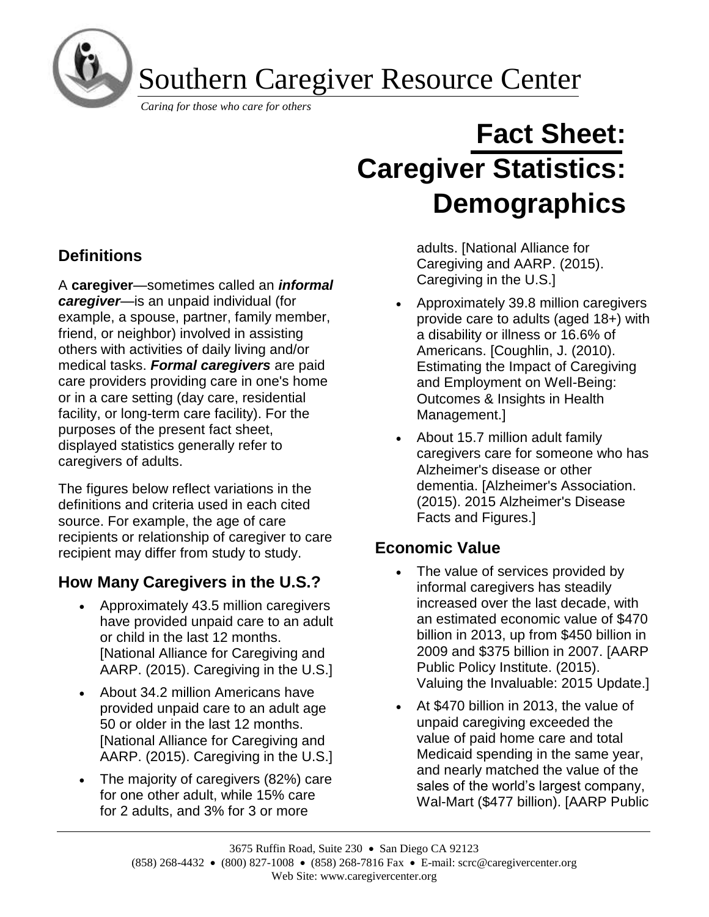

Southern Caregiver Resource Center

*Caring for those who care for others*

# **Fact Sheet: Caregiver Statistics: Demographics**

**Definitions**

A **caregiver**—sometimes called an *informal caregiver*—is an unpaid individual (for example, a spouse, partner, family member, friend, or neighbor) involved in assisting others with activities of daily living and/or medical tasks. *Formal caregivers* are paid care providers providing care in one's home or in a care setting (day care, residential facility, or long-term care facility). For the purposes of the present fact sheet, displayed statistics generally refer to caregivers of adults.

The figures below reflect variations in the definitions and criteria used in each cited source. For example, the age of care recipients or relationship of caregiver to care recipient may differ from study to study.

# **How Many Caregivers in the U.S.?**

- Approximately 43.5 million caregivers have provided unpaid care to an adult or child in the last 12 months. [National Alliance for Caregiving and AARP. (2015). Caregiving in the U.S.]
- About 34.2 million Americans have provided unpaid care to an adult age 50 or older in the last 12 months. [National Alliance for Caregiving and AARP. (2015). Caregiving in the U.S.]
- The majority of caregivers (82%) care for one other adult, while 15% care for 2 adults, and 3% for 3 or more

adults. [National Alliance for Caregiving and AARP. (2015). Caregiving in the U.S.]

- Approximately 39.8 million caregivers provide care to adults (aged 18+) with a disability or illness or 16.6% of Americans. [Coughlin, J. (2010). Estimating the Impact of Caregiving and Employment on Well-Being: Outcomes & Insights in Health Management.]
- About 15.7 million adult family caregivers care for someone who has Alzheimer's disease or other dementia. [Alzheimer's Association. (2015). 2015 Alzheimer's Disease Facts and Figures.]

# **Economic Value**

- The value of services provided by informal caregivers has steadily increased over the last decade, with an estimated economic value of \$470 billion in 2013, up from \$450 billion in 2009 and \$375 billion in 2007. [AARP Public Policy Institute. (2015). Valuing the Invaluable: 2015 Update.]
- At \$470 billion in 2013, the value of unpaid caregiving exceeded the value of paid home care and total Medicaid spending in the same year, and nearly matched the value of the sales of the world's largest company, Wal-Mart (\$477 billion). [AARP Public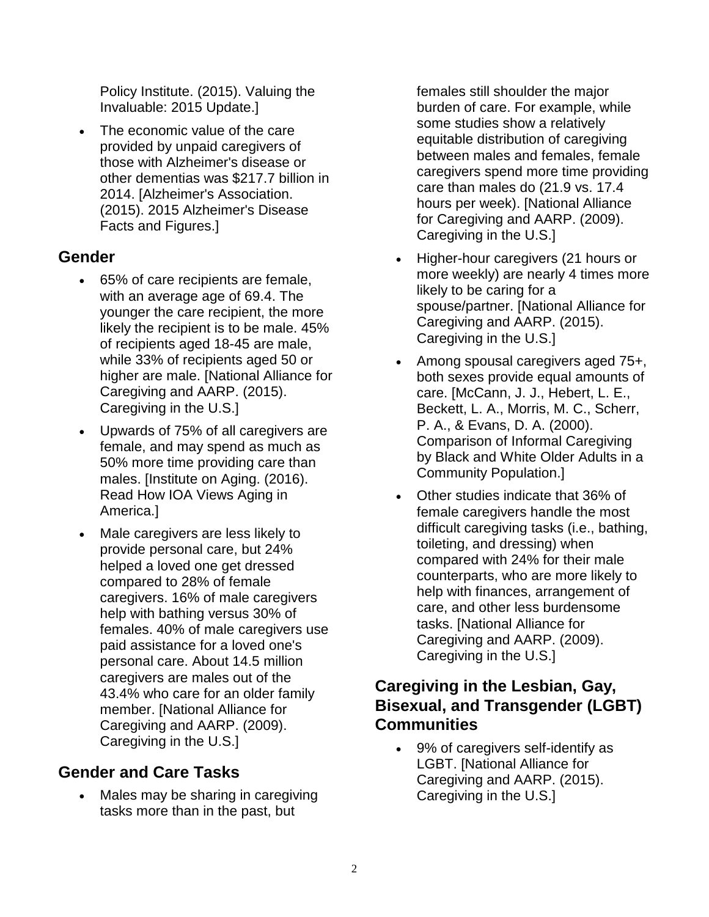Policy Institute. (2015). Valuing the Invaluable: 2015 Update.]

• The economic value of the care provided by unpaid caregivers of those with Alzheimer's disease or other dementias was \$217.7 billion in 2014. [Alzheimer's Association. (2015). 2015 Alzheimer's Disease Facts and Figures.]

## **Gender**

- 65% of care recipients are female, with an average age of 69.4. The younger the care recipient, the more likely the recipient is to be male. 45% of recipients aged 18-45 are male, while 33% of recipients aged 50 or higher are male. [National Alliance for Caregiving and AARP. (2015). Caregiving in the U.S.]
- Upwards of 75% of all caregivers are female, and may spend as much as 50% more time providing care than males. [Institute on Aging. (2016). Read How IOA Views Aging in America.]
- Male caregivers are less likely to provide personal care, but 24% helped a loved one get dressed compared to 28% of female caregivers. 16% of male caregivers help with bathing versus 30% of females. 40% of male caregivers use paid assistance for a loved one's personal care. About 14.5 million caregivers are males out of the 43.4% who care for an older family member. [National Alliance for Caregiving and AARP. (2009). Caregiving in the U.S.]

# **Gender and Care Tasks**

Males may be sharing in caregiving tasks more than in the past, but

females still shoulder the major burden of care. For example, while some studies show a relatively equitable distribution of caregiving between males and females, female caregivers spend more time providing care than males do (21.9 vs. 17.4 hours per week). [National Alliance for Caregiving and AARP. (2009). Caregiving in the U.S.]

- Higher-hour caregivers (21 hours or more weekly) are nearly 4 times more likely to be caring for a spouse/partner. [National Alliance for Caregiving and AARP. (2015). Caregiving in the U.S.]
- Among spousal caregivers aged 75+, both sexes provide equal amounts of care. [McCann, J. J., Hebert, L. E., Beckett, L. A., Morris, M. C., Scherr, P. A., & Evans, D. A. (2000). Comparison of Informal Caregiving by Black and White Older Adults in a Community Population.]
- Other studies indicate that 36% of female caregivers handle the most difficult caregiving tasks (i.e., bathing, toileting, and dressing) when compared with 24% for their male counterparts, who are more likely to help with finances, arrangement of care, and other less burdensome tasks. [National Alliance for Caregiving and AARP. (2009). Caregiving in the U.S.]

## **Caregiving in the Lesbian, Gay, Bisexual, and Transgender (LGBT) Communities**

• 9% of caregivers self-identify as LGBT. [National Alliance for Caregiving and AARP. (2015). Caregiving in the U.S.]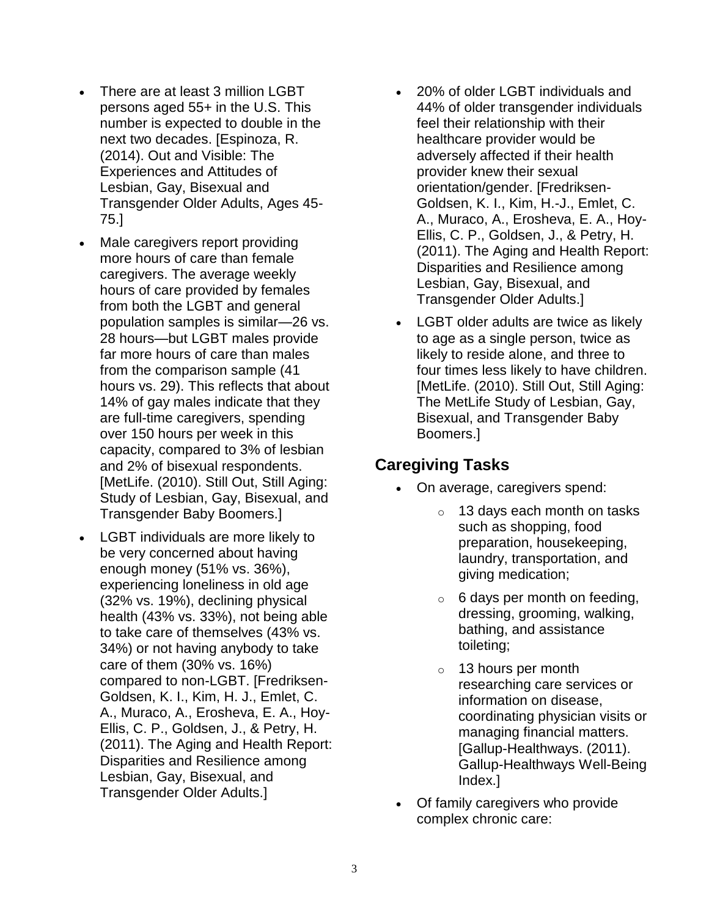- There are at least 3 million LGBT persons aged 55+ in the U.S. This number is expected to double in the next two decades. [Espinoza, R. (2014). Out and Visible: The Experiences and Attitudes of Lesbian, Gay, Bisexual and Transgender Older Adults, Ages 45- 75.]
- Male caregivers report providing more hours of care than female caregivers. The average weekly hours of care provided by females from both the LGBT and general population samples is similar—26 vs. 28 hours—but LGBT males provide far more hours of care than males from the comparison sample (41 hours vs. 29). This reflects that about 14% of gay males indicate that they are full-time caregivers, spending over 150 hours per week in this capacity, compared to 3% of lesbian and 2% of bisexual respondents. [MetLife. (2010). Still Out, Still Aging: Study of Lesbian, Gay, Bisexual, and Transgender Baby Boomers.]
- LGBT individuals are more likely to be very concerned about having enough money (51% vs. 36%), experiencing loneliness in old age (32% vs. 19%), declining physical health (43% vs. 33%), not being able to take care of themselves (43% vs. 34%) or not having anybody to take care of them (30% vs. 16%) compared to non-LGBT. [Fredriksen-Goldsen, K. I., Kim, H. J., Emlet, C. A., Muraco, A., Erosheva, E. A., Hoy-Ellis, C. P., Goldsen, J., & Petry, H. (2011). The Aging and Health Report: Disparities and Resilience among Lesbian, Gay, Bisexual, and Transgender Older Adults.]
- 20% of older LGBT individuals and 44% of older transgender individuals feel their relationship with their healthcare provider would be adversely affected if their health provider knew their sexual orientation/gender. [Fredriksen-Goldsen, K. I., Kim, H.-J., Emlet, C. A., Muraco, A., Erosheva, E. A., Hoy-Ellis, C. P., Goldsen, J., & Petry, H. (2011). The Aging and Health Report: Disparities and Resilience among Lesbian, Gay, Bisexual, and Transgender Older Adults.]
- LGBT older adults are twice as likely to age as a single person, twice as likely to reside alone, and three to four times less likely to have children. [MetLife. (2010). Still Out, Still Aging: The MetLife Study of Lesbian, Gay, Bisexual, and Transgender Baby Boomers.]

## **Caregiving Tasks**

- On average, caregivers spend:
	- o 13 days each month on tasks such as shopping, food preparation, housekeeping, laundry, transportation, and giving medication;
	- $\circ$  6 days per month on feeding, dressing, grooming, walking, bathing, and assistance toileting;
	- o 13 hours per month researching care services or information on disease, coordinating physician visits or managing financial matters. [Gallup-Healthways. (2011). Gallup-Healthways Well-Being Index.]
- Of family caregivers who provide complex chronic care: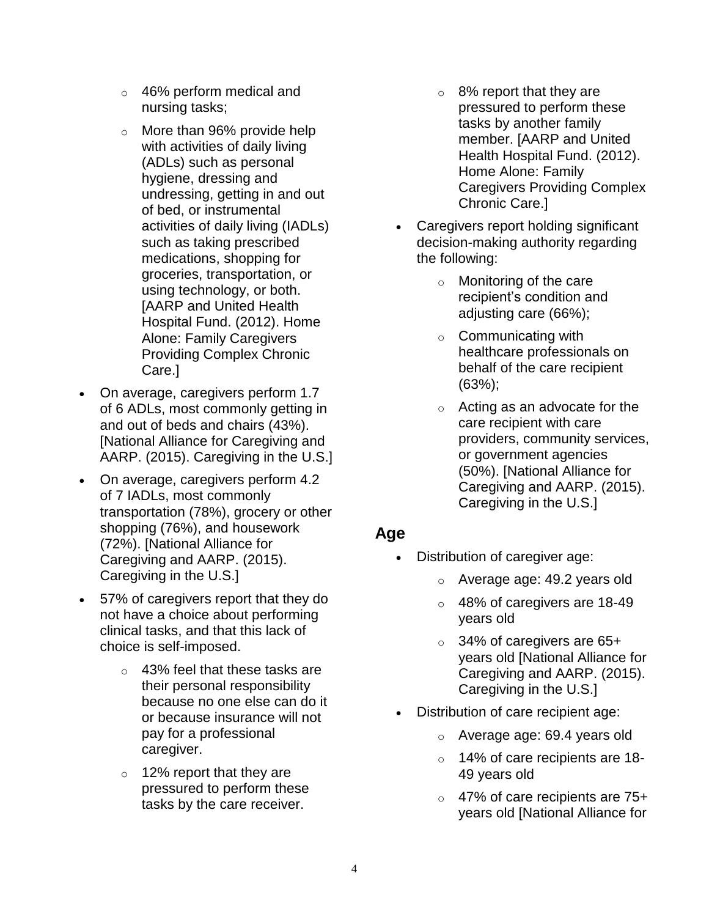- o 46% perform medical and nursing tasks;
- o More than 96% provide help with activities of daily living (ADLs) such as personal hygiene, dressing and undressing, getting in and out of bed, or instrumental activities of daily living (IADLs) such as taking prescribed medications, shopping for groceries, transportation, or using technology, or both. [AARP and United Health Hospital Fund. (2012). Home Alone: Family Caregivers Providing Complex Chronic Care.]
- On average, caregivers perform 1.7 of 6 ADLs, most commonly getting in and out of beds and chairs (43%). [National Alliance for Caregiving and AARP. (2015). Caregiving in the U.S.]
- On average, caregivers perform 4.2 of 7 IADLs, most commonly transportation (78%), grocery or other shopping (76%), and housework (72%). [National Alliance for Caregiving and AARP. (2015). Caregiving in the U.S.]
- 57% of caregivers report that they do not have a choice about performing clinical tasks, and that this lack of choice is self-imposed.
	- o 43% feel that these tasks are their personal responsibility because no one else can do it or because insurance will not pay for a professional caregiver.
	- o 12% report that they are pressured to perform these tasks by the care receiver.
- $\circ$  8% report that they are pressured to perform these tasks by another family member. [AARP and United Health Hospital Fund. (2012). Home Alone: Family Caregivers Providing Complex Chronic Care.]
- Caregivers report holding significant decision-making authority regarding the following:
	- $\circ$  Monitoring of the care recipient's condition and adjusting care (66%);
	- $\circ$  Communicating with healthcare professionals on behalf of the care recipient (63%);
	- o Acting as an advocate for the care recipient with care providers, community services, or government agencies (50%). [National Alliance for Caregiving and AARP. (2015). Caregiving in the U.S.]

## **Age**

- Distribution of caregiver age:
	- o Average age: 49.2 years old
	- o 48% of caregivers are 18-49 years old
	- o 34% of caregivers are 65+ years old [National Alliance for Caregiving and AARP. (2015). Caregiving in the U.S.]
- Distribution of care recipient age:
	- o Average age: 69.4 years old
	- o 14% of care recipients are 18- 49 years old
	- o 47% of care recipients are 75+ years old [National Alliance for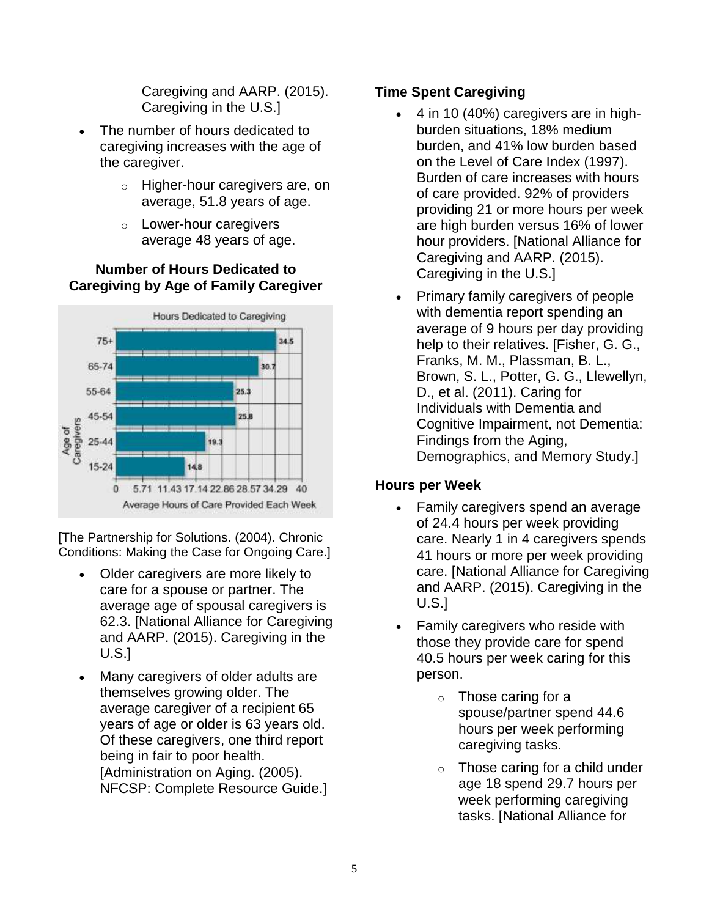Caregiving and AARP. (2015). Caregiving in the U.S.]

- The number of hours dedicated to caregiving increases with the age of the caregiver.
	- o Higher-hour caregivers are, on average, 51.8 years of age.
	- o Lower-hour caregivers average 48 years of age.

#### **Number of Hours Dedicated to Caregiving by Age of Family Caregiver**



[The Partnership for Solutions. (2004). Chronic Conditions: Making the Case for Ongoing Care.]

- Older caregivers are more likely to care for a spouse or partner. The average age of spousal caregivers is 62.3. [National Alliance for Caregiving and AARP. (2015). Caregiving in the U.S.]
- Many caregivers of older adults are themselves growing older. The average caregiver of a recipient 65 years of age or older is 63 years old. Of these caregivers, one third report being in fair to poor health. [Administration on Aging. (2005). NFCSP: Complete Resource Guide.]

#### **Time Spent Caregiving**

- 4 in 10 (40%) caregivers are in highburden situations, 18% medium burden, and 41% low burden based on the Level of Care Index (1997). Burden of care increases with hours of care provided. 92% of providers providing 21 or more hours per week are high burden versus 16% of lower hour providers. [National Alliance for Caregiving and AARP. (2015). Caregiving in the U.S.]
- Primary family caregivers of people with dementia report spending an average of 9 hours per day providing help to their relatives. [Fisher, G. G., Franks, M. M., Plassman, B. L., Brown, S. L., Potter, G. G., Llewellyn, D., et al. (2011). Caring for Individuals with Dementia and Cognitive Impairment, not Dementia: Findings from the Aging, Demographics, and Memory Study.]

#### **Hours per Week**

- Family caregivers spend an average of 24.4 hours per week providing care. Nearly 1 in 4 caregivers spends 41 hours or more per week providing care. [National Alliance for Caregiving and AARP. (2015). Caregiving in the U.S.]
- Family caregivers who reside with those they provide care for spend 40.5 hours per week caring for this person.
	- o Those caring for a spouse/partner spend 44.6 hours per week performing caregiving tasks.
	- $\circ$  Those caring for a child under age 18 spend 29.7 hours per week performing caregiving tasks. [National Alliance for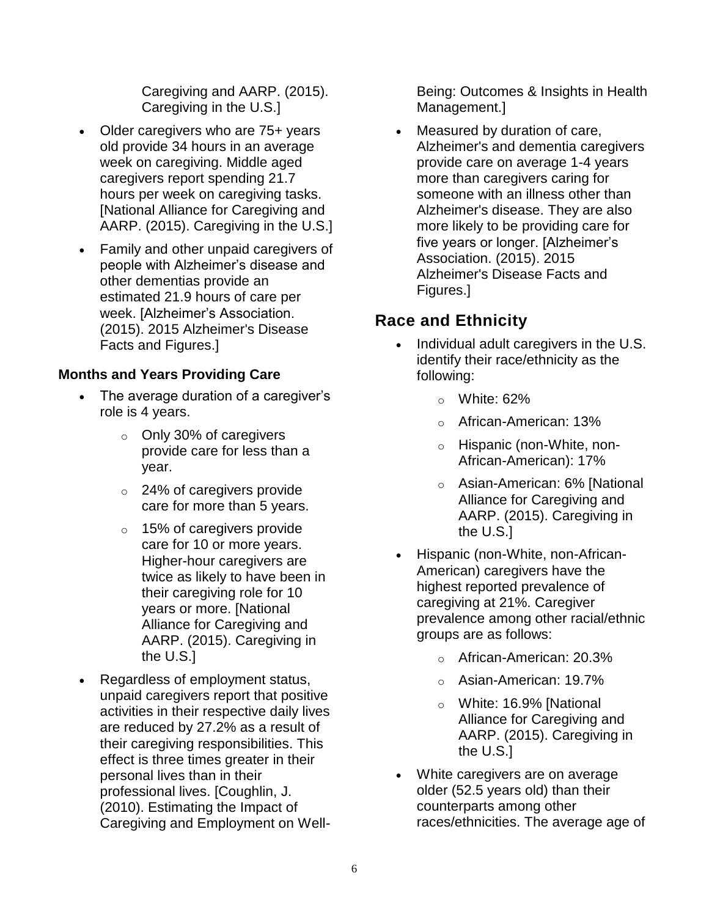Caregiving and AARP. (2015). Caregiving in the U.S.]

- Older caregivers who are 75+ years old provide 34 hours in an average week on caregiving. Middle aged caregivers report spending 21.7 hours per week on caregiving tasks. [National Alliance for Caregiving and AARP. (2015). Caregiving in the U.S.]
- Family and other unpaid caregivers of people with Alzheimer's disease and other dementias provide an estimated 21.9 hours of care per week. [Alzheimer's Association. (2015). 2015 Alzheimer's Disease Facts and Figures.]

#### **Months and Years Providing Care**

- The average duration of a caregiver's role is 4 years.
	- o Only 30% of caregivers provide care for less than a year.
	- o 24% of caregivers provide care for more than 5 years.
	- o 15% of caregivers provide care for 10 or more years. Higher-hour caregivers are twice as likely to have been in their caregiving role for 10 years or more. [National Alliance for Caregiving and AARP. (2015). Caregiving in the U.S.]
- Regardless of employment status, unpaid caregivers report that positive activities in their respective daily lives are reduced by 27.2% as a result of their caregiving responsibilities. This effect is three times greater in their personal lives than in their professional lives. [Coughlin, J. (2010). Estimating the Impact of Caregiving and Employment on Well-

Being: Outcomes & Insights in Health Management.]

Measured by duration of care, Alzheimer's and dementia caregivers provide care on average 1-4 years more than caregivers caring for someone with an illness other than Alzheimer's disease. They are also more likely to be providing care for five years or longer. [Alzheimer's Association. (2015). 2015 Alzheimer's Disease Facts and Figures.]

# **Race and Ethnicity**

- Individual adult caregivers in the U.S. identify their race/ethnicity as the following:
	- $\circ$  White: 62%
	- o African-American: 13%
	- o Hispanic (non-White, non-African-American): 17%
	- o Asian-American: 6% [National Alliance for Caregiving and AARP. (2015). Caregiving in the U.S.]
- Hispanic (non-White, non-African-American) caregivers have the highest reported prevalence of caregiving at 21%. Caregiver prevalence among other racial/ethnic groups are as follows:
	- o African-American: 20.3%
	- o Asian-American: 19.7%
	- o White: 16.9% [National Alliance for Caregiving and AARP. (2015). Caregiving in the U.S.]
- White caregivers are on average older (52.5 years old) than their counterparts among other races/ethnicities. The average age of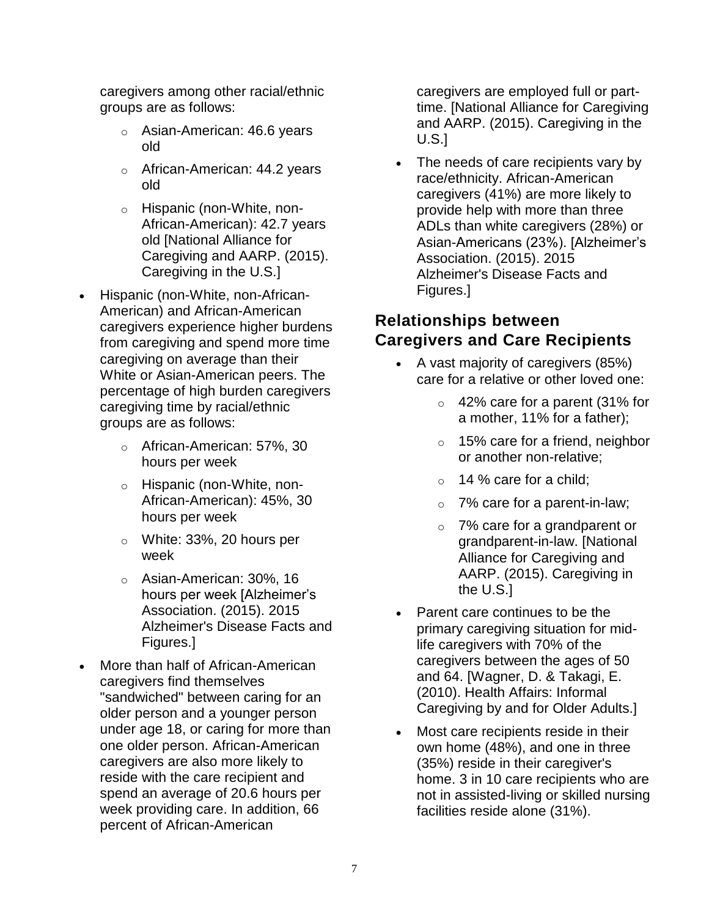caregivers among other racial/ethnic groups are as follows:

- Asian-American: 46.6 years old
- o African-American: 44.2 years old
- o Hispanic (non-White, non-African-American): 42.7 years old [National Alliance for Caregiving and AARP. (2015). Caregiving in the U.S.]
- Hispanic (non-White, non-African-American) and African-American caregivers experience higher burdens from caregiving and spend more time caregiving on average than their White or Asian-American peers. The percentage of high burden caregivers caregiving time by racial/ethnic groups are as follows:
	- o African-American: 57%, 30 hours per week
	- o Hispanic (non-White, non-African-American): 45%, 30 hours per week
	- o White: 33%, 20 hours per week
	- o Asian-American: 30%, 16 hours per week [Alzheimer's Association. (2015). 2015 Alzheimer's Disease Facts and Figures.]
- More than half of African-American caregivers find themselves "sandwiched" between caring for an older person and a younger person under age 18, or caring for more than one older person. African-American caregivers are also more likely to reside with the care recipient and spend an average of 20.6 hours per week providing care. In addition, 66 percent of African-American

caregivers are employed full or parttime. [National Alliance for Caregiving and AARP. (2015). Caregiving in the U.S.]

• The needs of care recipients vary by race/ethnicity. African-American caregivers (41%) are more likely to provide help with more than three ADLs than white caregivers (28%) or Asian-Americans (23%). [Alzheimer's Association. (2015). 2015 Alzheimer's Disease Facts and Figures.]

## **Relationships between Caregivers and Care Recipients**

- A vast majority of caregivers (85%) care for a relative or other loved one:
	- o 42% care for a parent (31% for a mother, 11% for a father);
	- $\circ$  15% care for a friend, neighbor or another non-relative;
	- $\circ$  14 % care for a child:
	- o 7% care for a parent-in-law;
	- o 7% care for a grandparent or grandparent-in-law. [National Alliance for Caregiving and AARP. (2015). Caregiving in the U.S.]
- Parent care continues to be the primary caregiving situation for midlife caregivers with 70% of the caregivers between the ages of 50 and 64. [Wagner, D. & Takagi, E. (2010). Health Affairs: Informal Caregiving by and for Older Adults.]
- Most care recipients reside in their own home (48%), and one in three (35%) reside in their caregiver's home. 3 in 10 care recipients who are not in assisted-living or skilled nursing facilities reside alone (31%).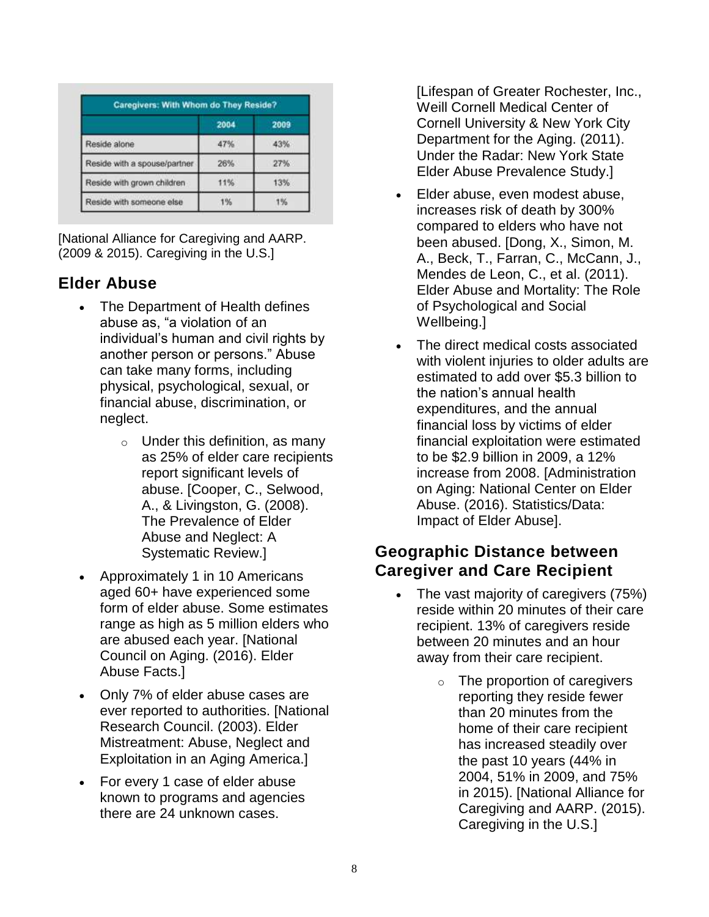|                              | 2004 | 2009 |
|------------------------------|------|------|
| Reside alone                 | 47%  | 43%  |
| Reside with a spouse/partner | 26%  | 27%  |
| Reside with grown children   | 11%  | 13%  |
| Reside with someone else     | 1%   | 1%   |

[National Alliance for Caregiving and AARP. (2009 & 2015). Caregiving in the U.S.]

# **Elder Abuse**

- The Department of Health defines abuse as, "a violation of an individual's human and civil rights by another person or persons." Abuse can take many forms, including physical, psychological, sexual, or financial abuse, discrimination, or neglect.
	- $\circ$  Under this definition, as many as 25% of elder care recipients report significant levels of abuse. [Cooper, C., Selwood, A., & Livingston, G. (2008). The Prevalence of Elder Abuse and Neglect: A Systematic Review.]
- Approximately 1 in 10 Americans aged 60+ have experienced some form of elder abuse. Some estimates range as high as 5 million elders who are abused each year. [National Council on Aging. (2016). Elder Abuse Facts.]
- Only 7% of elder abuse cases are ever reported to authorities. [National Research Council. (2003). Elder Mistreatment: Abuse, Neglect and Exploitation in an Aging America.]
- For every 1 case of elder abuse known to programs and agencies there are 24 unknown cases.

[Lifespan of Greater Rochester, Inc., Weill Cornell Medical Center of Cornell University & New York City Department for the Aging. (2011). Under the Radar: New York State Elder Abuse Prevalence Study.]

- Elder abuse, even modest abuse, increases risk of death by 300% compared to elders who have not been abused. [Dong, X., Simon, M. A., Beck, T., Farran, C., McCann, J., Mendes de Leon, C., et al. (2011). Elder Abuse and Mortality: The Role of Psychological and Social Wellbeing.]
- The direct medical costs associated with violent injuries to older adults are estimated to add over \$5.3 billion to the nation's annual health expenditures, and the annual financial loss by victims of elder financial exploitation were estimated to be \$2.9 billion in 2009, a 12% increase from 2008. [Administration on Aging: National Center on Elder Abuse. (2016). Statistics/Data: Impact of Elder Abuse].

## **Geographic Distance between Caregiver and Care Recipient**

- The vast majority of caregivers (75%) reside within 20 minutes of their care recipient. 13% of caregivers reside between 20 minutes and an hour away from their care recipient.
	- o The proportion of caregivers reporting they reside fewer than 20 minutes from the home of their care recipient has increased steadily over the past 10 years (44% in 2004, 51% in 2009, and 75% in 2015). [National Alliance for Caregiving and AARP. (2015). Caregiving in the U.S.]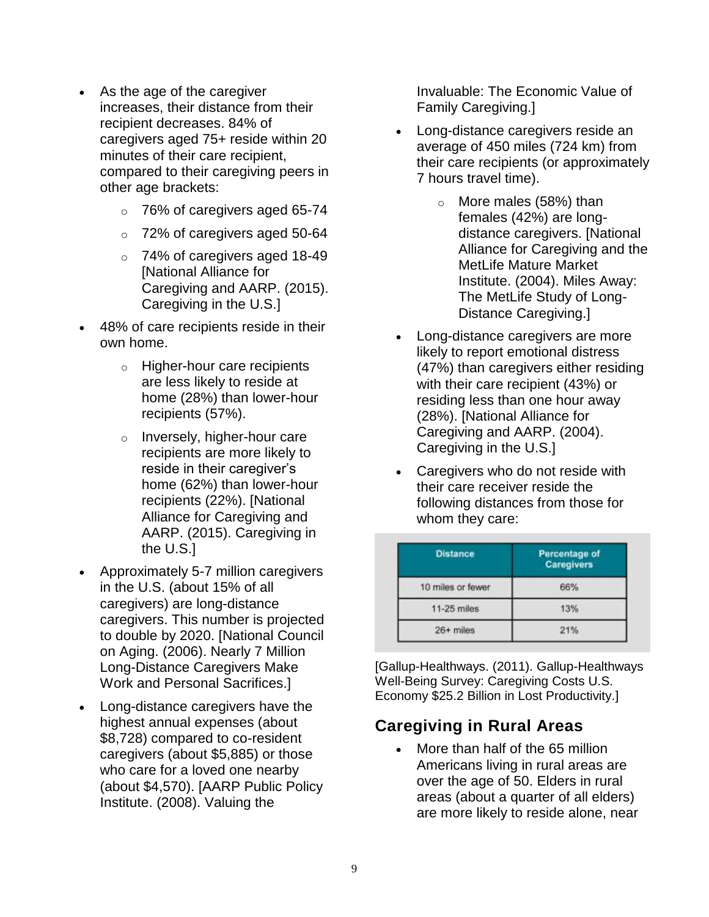- As the age of the caregiver increases, their distance from their recipient decreases. 84% of caregivers aged 75+ reside within 20 minutes of their care recipient, compared to their caregiving peers in other age brackets:
	- o 76% of caregivers aged 65-74
	- o 72% of caregivers aged 50-64
	- o 74% of caregivers aged 18-49 [National Alliance for Caregiving and AARP. (2015). Caregiving in the U.S.]
- 48% of care recipients reside in their own home.
	- o Higher-hour care recipients are less likely to reside at home (28%) than lower-hour recipients (57%).
	- o Inversely, higher-hour care recipients are more likely to reside in their caregiver's home (62%) than lower-hour recipients (22%). [National Alliance for Caregiving and AARP. (2015). Caregiving in the U.S.]
- Approximately 5-7 million caregivers in the U.S. (about 15% of all caregivers) are long-distance caregivers. This number is projected to double by 2020. [National Council on Aging. (2006). Nearly 7 Million Long-Distance Caregivers Make Work and Personal Sacrifices.]
- Long-distance caregivers have the highest annual expenses (about \$8,728) compared to co-resident caregivers (about \$5,885) or those who care for a loved one nearby (about \$4,570). [AARP Public Policy Institute. (2008). Valuing the

Invaluable: The Economic Value of Family Caregiving.]

- Long-distance caregivers reside an average of 450 miles (724 km) from their care recipients (or approximately 7 hours travel time).
	- o More males (58%) than females (42%) are longdistance caregivers. [National Alliance for Caregiving and the MetLife Mature Market Institute. (2004). Miles Away: The MetLife Study of Long-Distance Caregiving.]
- Long-distance caregivers are more likely to report emotional distress (47%) than caregivers either residing with their care recipient (43%) or residing less than one hour away (28%). [National Alliance for Caregiving and AARP. (2004). Caregiving in the U.S.]
- Caregivers who do not reside with their care receiver reside the following distances from those for whom they care:

| <b>Distance</b>   | Percentage of<br><b>Caregivers</b> |  |
|-------------------|------------------------------------|--|
| 10 miles or fewer | 66%                                |  |
| 11-25 miles       | 13%                                |  |
| 26+ miles         |                                    |  |

[Gallup-Healthways. (2011). Gallup-Healthways Well-Being Survey: Caregiving Costs U.S. Economy \$25.2 Billion in Lost Productivity.]

# **Caregiving in Rural Areas**

• More than half of the 65 million Americans living in rural areas are over the age of 50. Elders in rural areas (about a quarter of all elders) are more likely to reside alone, near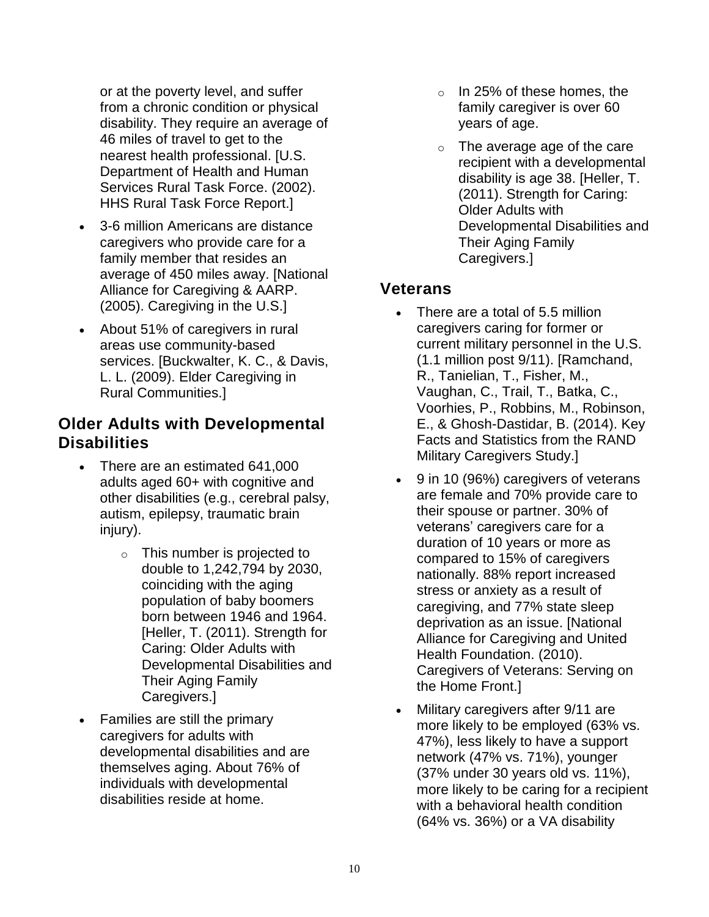or at the poverty level, and suffer from a chronic condition or physical disability. They require an average of 46 miles of travel to get to the nearest health professional. [U.S. Department of Health and Human Services Rural Task Force. (2002). HHS Rural Task Force Report.]

- 3-6 million Americans are distance caregivers who provide care for a family member that resides an average of 450 miles away. [National Alliance for Caregiving & AARP. (2005). Caregiving in the U.S.]
- About 51% of caregivers in rural areas use community-based services. [Buckwalter, K. C., & Davis, L. L. (2009). Elder Caregiving in Rural Communities.]

## **Older Adults with Developmental Disabilities**

- There are an estimated 641,000 adults aged 60+ with cognitive and other disabilities (e.g., cerebral palsy, autism, epilepsy, traumatic brain injury).
	- o This number is projected to double to 1,242,794 by 2030, coinciding with the aging population of baby boomers born between 1946 and 1964. [Heller, T. (2011). Strength for Caring: Older Adults with Developmental Disabilities and Their Aging Family Caregivers.]
- Families are still the primary caregivers for adults with developmental disabilities and are themselves aging. About 76% of individuals with developmental disabilities reside at home.
- $\circ$  In 25% of these homes, the family caregiver is over 60 years of age.
- o The average age of the care recipient with a developmental disability is age 38. [Heller, T. (2011). Strength for Caring: Older Adults with Developmental Disabilities and Their Aging Family Caregivers.]

## **Veterans**

- There are a total of 5.5 million caregivers caring for former or current military personnel in the U.S. (1.1 million post 9/11). [Ramchand, R., Tanielian, T., Fisher, M., Vaughan, C., Trail, T., Batka, C., Voorhies, P., Robbins, M., Robinson, E., & Ghosh-Dastidar, B. (2014). Key Facts and Statistics from the RAND Military Caregivers Study.]
- 9 in 10 (96%) caregivers of veterans are female and 70% provide care to their spouse or partner. 30% of veterans' caregivers care for a duration of 10 years or more as compared to 15% of caregivers nationally. 88% report increased stress or anxiety as a result of caregiving, and 77% state sleep deprivation as an issue. [National Alliance for Caregiving and United Health Foundation. (2010). Caregivers of Veterans: Serving on the Home Front.]
- Military caregivers after 9/11 are more likely to be employed (63% vs. 47%), less likely to have a support network (47% vs. 71%), younger (37% under 30 years old vs. 11%), more likely to be caring for a recipient with a behavioral health condition (64% vs. 36%) or a VA disability